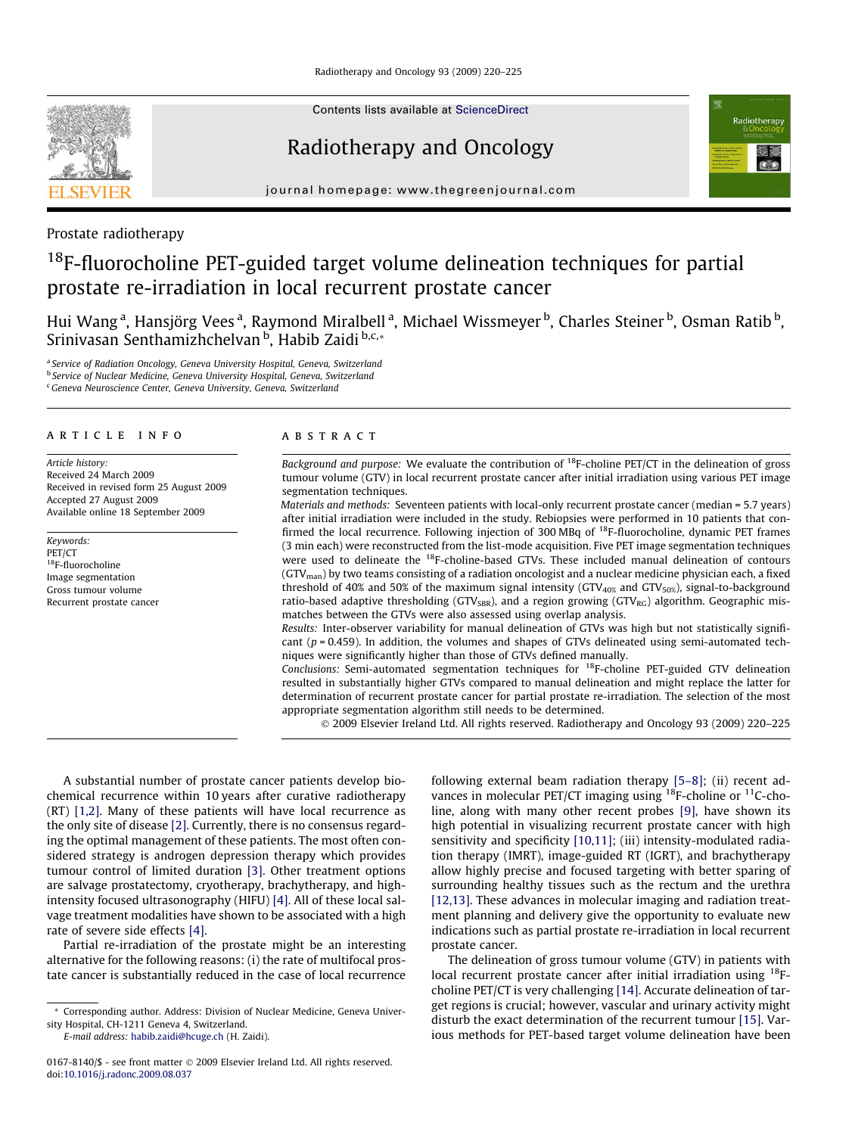Contents lists available at [ScienceDirect](http://www.sciencedirect.com/science/journal/01678140)

## Radiotherapy and Oncology



journal homepage: [www.thegreenjournal.com](http://www.thegreenjournal.com)

## Prostate radiotherapy

# <sup>18</sup>F-fluorocholine PET-guided target volume delineation techniques for partial prostate re-irradiation in local recurrent prostate cancer

Hui Wang <sup>a</sup>, Hansjörg Vees <sup>a</sup>, Raymond Miralbell <sup>a</sup>, Michael Wissmeyer <sup>b</sup>, Charles Steiner <sup>b</sup>, Osman Ratib <sup>b</sup>, Srinivasan Senthamizhchelvan <sup>b</sup>, Habib Zaidi <sup>b,c,</sup>\*

<sup>a</sup> Service of Radiation Oncology, Geneva University Hospital, Geneva, Switzerland **b Service of Nuclear Medicine, Geneva University Hospital, Geneva, Switzerland** 

<sup>c</sup> Geneva Neuroscience Center, Geneva University, Geneva, Switzerland

## article info

Article history: Received 24 March 2009 Received in revised form 25 August 2009 Accepted 27 August 2009 Available online 18 September 2009

Keywords: PET/CT 18F-fluorocholine Image segmentation Gross tumour volume Recurrent prostate cancer

## ABSTRACT

Background and purpose: We evaluate the contribution of  ${}^{18}F$ -choline PET/CT in the delineation of gross tumour volume (GTV) in local recurrent prostate cancer after initial irradiation using various PET image segmentation techniques.

Materials and methods: Seventeen patients with local-only recurrent prostate cancer (median = 5.7 years) after initial irradiation were included in the study. Rebiopsies were performed in 10 patients that confirmed the local recurrence. Following injection of 300 MBq of 18F-fluorocholine, dynamic PET frames (3 min each) were reconstructed from the list-mode acquisition. Five PET image segmentation techniques were used to delineate the <sup>18</sup>F-choline-based GTVs. These included manual delineation of contours  $(GTV_{man})$  by two teams consisting of a radiation oncologist and a nuclear medicine physician each, a fixed threshold of 40% and 50% of the maximum signal intensity (GTV<sub>40%</sub> and GTV<sub>50%</sub>), signal-to-background ratio-based adaptive thresholding (GTV<sub>SBR</sub>), and a region growing (GTV<sub>RG</sub>) algorithm. Geographic mismatches between the GTVs were also assessed using overlap analysis.

Results: Inter-observer variability for manual delineation of GTVs was high but not statistically significant ( $p = 0.459$ ). In addition, the volumes and shapes of GTVs delineated using semi-automated techniques were significantly higher than those of GTVs defined manually.

Conclusions: Semi-automated segmentation techniques for  $^{18}$ F-choline PET-guided GTV delineation resulted in substantially higher GTVs compared to manual delineation and might replace the latter for determination of recurrent prostate cancer for partial prostate re-irradiation. The selection of the most appropriate segmentation algorithm still needs to be determined.

- 2009 Elsevier Ireland Ltd. All rights reserved. Radiotherapy and Oncology 93 (2009) 220–225

A substantial number of prostate cancer patients develop biochemical recurrence within 10 years after curative radiotherapy (RT) [\[1,2\].](#page-4-0) Many of these patients will have local recurrence as the only site of disease [\[2\]](#page-4-0). Currently, there is no consensus regarding the optimal management of these patients. The most often considered strategy is androgen depression therapy which provides tumour control of limited duration [\[3\].](#page-4-0) Other treatment options are salvage prostatectomy, cryotherapy, brachytherapy, and highintensity focused ultrasonography (HIFU) [\[4\]](#page-4-0). All of these local salvage treatment modalities have shown to be associated with a high rate of severe side effects [\[4\].](#page-4-0)

Partial re-irradiation of the prostate might be an interesting alternative for the following reasons: (i) the rate of multifocal prostate cancer is substantially reduced in the case of local recurrence

E-mail address: [habib.zaidi@hcuge.ch](mailto:habib.zaidi@hcuge.ch) (H. Zaidi).

following external beam radiation therapy [\[5–8\];](#page-4-0) (ii) recent advances in molecular PET/CT imaging using  $^{18}$ F-choline or  $^{11}$ C-choline, along with many other recent probes [\[9\]](#page-5-0), have shown its high potential in visualizing recurrent prostate cancer with high sensitivity and specificity [\[10,11\]](#page-5-0); (iii) intensity-modulated radiation therapy (IMRT), image-guided RT (IGRT), and brachytherapy allow highly precise and focused targeting with better sparing of surrounding healthy tissues such as the rectum and the urethra [\[12,13\].](#page-5-0) These advances in molecular imaging and radiation treatment planning and delivery give the opportunity to evaluate new indications such as partial prostate re-irradiation in local recurrent prostate cancer.

The delineation of gross tumour volume (GTV) in patients with local recurrent prostate cancer after initial irradiation using <sup>18</sup>Fcholine PET/CT is very challenging [\[14\]](#page-5-0). Accurate delineation of target regions is crucial; however, vascular and urinary activity might disturb the exact determination of the recurrent tumour [\[15\]](#page-5-0). Various methods for PET-based target volume delineation have been

<sup>\*</sup> Corresponding author. Address: Division of Nuclear Medicine, Geneva University Hospital, CH-1211 Geneva 4, Switzerland.

<sup>0167-8140/\$ -</sup> see front matter © 2009 Elsevier Ireland Ltd. All rights reserved. doi:[10.1016/j.radonc.2009.08.037](http://dx.doi.org/10.1016/j.radonc.2009.08.037)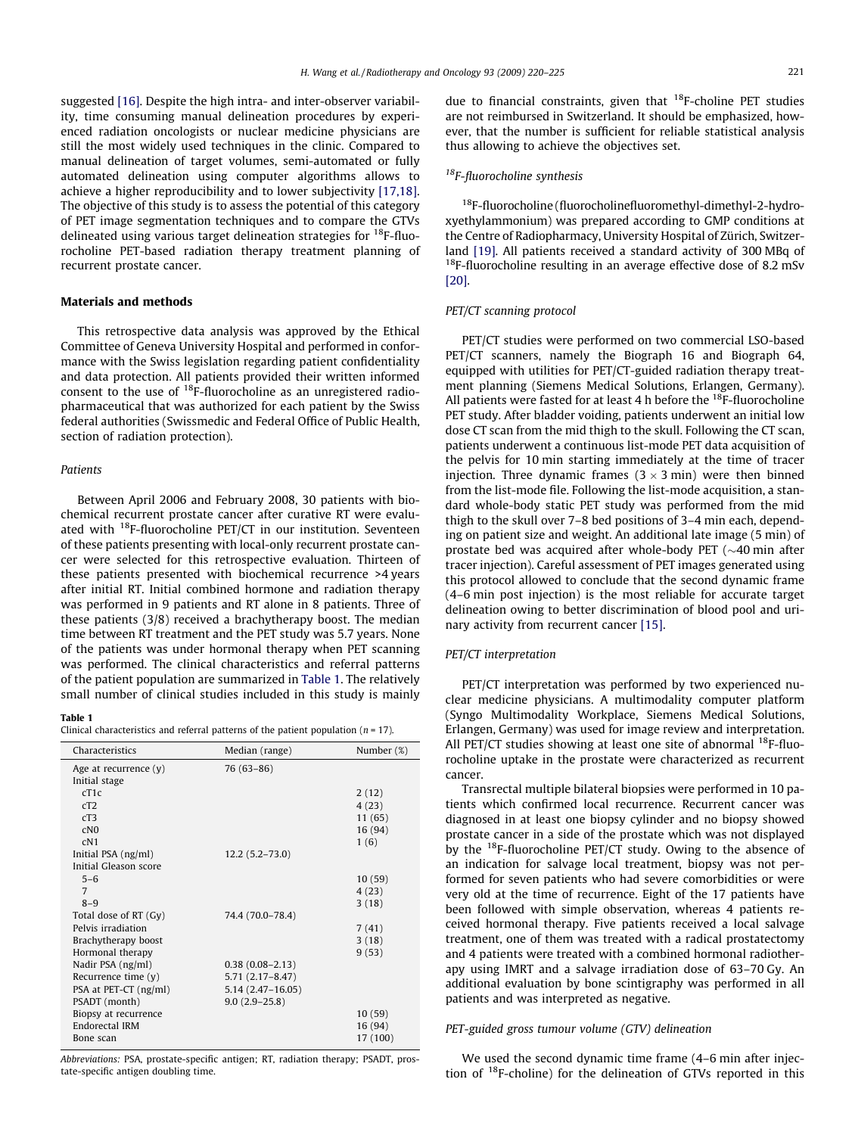suggested [\[16\].](#page-5-0) Despite the high intra- and inter-observer variability, time consuming manual delineation procedures by experienced radiation oncologists or nuclear medicine physicians are still the most widely used techniques in the clinic. Compared to manual delineation of target volumes, semi-automated or fully automated delineation using computer algorithms allows to achieve a higher reproducibility and to lower subjectivity [\[17,18\].](#page-5-0) The objective of this study is to assess the potential of this category of PET image segmentation techniques and to compare the GTVs delineated using various target delineation strategies for 18F-fluorocholine PET-based radiation therapy treatment planning of recurrent prostate cancer.

#### Materials and methods

This retrospective data analysis was approved by the Ethical Committee of Geneva University Hospital and performed in conformance with the Swiss legislation regarding patient confidentiality and data protection. All patients provided their written informed consent to the use of 18F-fluorocholine as an unregistered radiopharmaceutical that was authorized for each patient by the Swiss federal authorities (Swissmedic and Federal Office of Public Health, section of radiation protection).

## Patients

Between April 2006 and February 2008, 30 patients with biochemical recurrent prostate cancer after curative RT were evaluated with 18F-fluorocholine PET/CT in our institution. Seventeen of these patients presenting with local-only recurrent prostate cancer were selected for this retrospective evaluation. Thirteen of these patients presented with biochemical recurrence >4 years after initial RT. Initial combined hormone and radiation therapy was performed in 9 patients and RT alone in 8 patients. Three of these patients (3/8) received a brachytherapy boost. The median time between RT treatment and the PET study was 5.7 years. None of the patients was under hormonal therapy when PET scanning was performed. The clinical characteristics and referral patterns of the patient population are summarized in Table 1. The relatively small number of clinical studies included in this study is mainly

## Table 1

Clinical characteristics and referral patterns of the patient population ( $n = 17$ ).

| Characteristics         | Median (range)      | Number (%) |
|-------------------------|---------------------|------------|
| Age at recurrence $(y)$ | 76 (63-86)          |            |
| Initial stage           |                     |            |
| cT1c                    |                     | 2(12)      |
| cT2                     |                     | 4(23)      |
| cT3                     |                     | 11(65)     |
| CNO                     |                     | 16 (94)    |
| cN1                     |                     | 1(6)       |
| Initial PSA (ng/ml)     | $12.2(5.2 - 73.0)$  |            |
| Initial Gleason score   |                     |            |
| $5 - 6$                 |                     | 10(59)     |
| 7                       |                     | 4(23)      |
| $8 - 9$                 |                     | 3(18)      |
| Total dose of RT (Gy)   | 74.4 (70.0-78.4)    |            |
| Pelvis irradiation      |                     | 7(41)      |
| Brachytherapy boost     |                     | 3(18)      |
| Hormonal therapy        |                     | 9(53)      |
| Nadir PSA (ng/ml)       | $0.38(0.08 - 2.13)$ |            |
| Recurrence time $(y)$   | $5.71(2.17 - 8.47)$ |            |
| PSA at PET-CT (ng/ml)   | $5.14(2.47-16.05)$  |            |
| PSADT (month)           | $9.0(2.9 - 25.8)$   |            |
| Biopsy at recurrence    |                     | 10(59)     |
| Endorectal IRM          |                     | 16(94)     |
| Bone scan               |                     | 17 (100)   |

Abbreviations: PSA, prostate-specific antigen; RT, radiation therapy; PSADT, prostate-specific antigen doubling time.

due to financial constraints, given that  $^{18}$ F-choline PET studies are not reimbursed in Switzerland. It should be emphasized, however, that the number is sufficient for reliable statistical analysis thus allowing to achieve the objectives set.

## 18F-fluorocholine synthesis

<sup>18</sup>F-fluorocholine (fluorocholinefluoromethyl-dimethyl-2-hydroxyethylammonium) was prepared according to GMP conditions at the Centre of Radiopharmacy, University Hospital of Zürich, Switzerland [\[19\]](#page-5-0). All patients received a standard activity of 300 MBq of  $18$ F-fluorocholine resulting in an average effective dose of 8.2 mSv [\[20\].](#page-5-0)

#### PET/CT scanning protocol

PET/CT studies were performed on two commercial LSO-based PET/CT scanners, namely the Biograph 16 and Biograph 64, equipped with utilities for PET/CT-guided radiation therapy treatment planning (Siemens Medical Solutions, Erlangen, Germany). All patients were fasted for at least 4 h before the  $^{18}$ F-fluorocholine PET study. After bladder voiding, patients underwent an initial low dose CT scan from the mid thigh to the skull. Following the CT scan, patients underwent a continuous list-mode PET data acquisition of the pelvis for 10 min starting immediately at the time of tracer injection. Three dynamic frames  $(3 \times 3 \text{ min})$  were then binned from the list-mode file. Following the list-mode acquisition, a standard whole-body static PET study was performed from the mid thigh to the skull over 7–8 bed positions of 3–4 min each, depending on patient size and weight. An additional late image (5 min) of prostate bed was acquired after whole-body PET ( $\sim$ 40 min after tracer injection). Careful assessment of PET images generated using this protocol allowed to conclude that the second dynamic frame (4–6 min post injection) is the most reliable for accurate target delineation owing to better discrimination of blood pool and urinary activity from recurrent cancer [\[15\].](#page-5-0)

## PET/CT interpretation

PET/CT interpretation was performed by two experienced nuclear medicine physicians. A multimodality computer platform (Syngo Multimodality Workplace, Siemens Medical Solutions, Erlangen, Germany) was used for image review and interpretation. All PET/CT studies showing at least one site of abnormal  $^{18}$ F-fluorocholine uptake in the prostate were characterized as recurrent cancer.

Transrectal multiple bilateral biopsies were performed in 10 patients which confirmed local recurrence. Recurrent cancer was diagnosed in at least one biopsy cylinder and no biopsy showed prostate cancer in a side of the prostate which was not displayed by the  $^{18}$ F-fluorocholine PET/CT study. Owing to the absence of an indication for salvage local treatment, biopsy was not performed for seven patients who had severe comorbidities or were very old at the time of recurrence. Eight of the 17 patients have been followed with simple observation, whereas 4 patients received hormonal therapy. Five patients received a local salvage treatment, one of them was treated with a radical prostatectomy and 4 patients were treated with a combined hormonal radiotherapy using IMRT and a salvage irradiation dose of 63–70 Gy. An additional evaluation by bone scintigraphy was performed in all patients and was interpreted as negative.

## PET-guided gross tumour volume (GTV) delineation

We used the second dynamic time frame (4–6 min after injection of 18F-choline) for the delineation of GTVs reported in this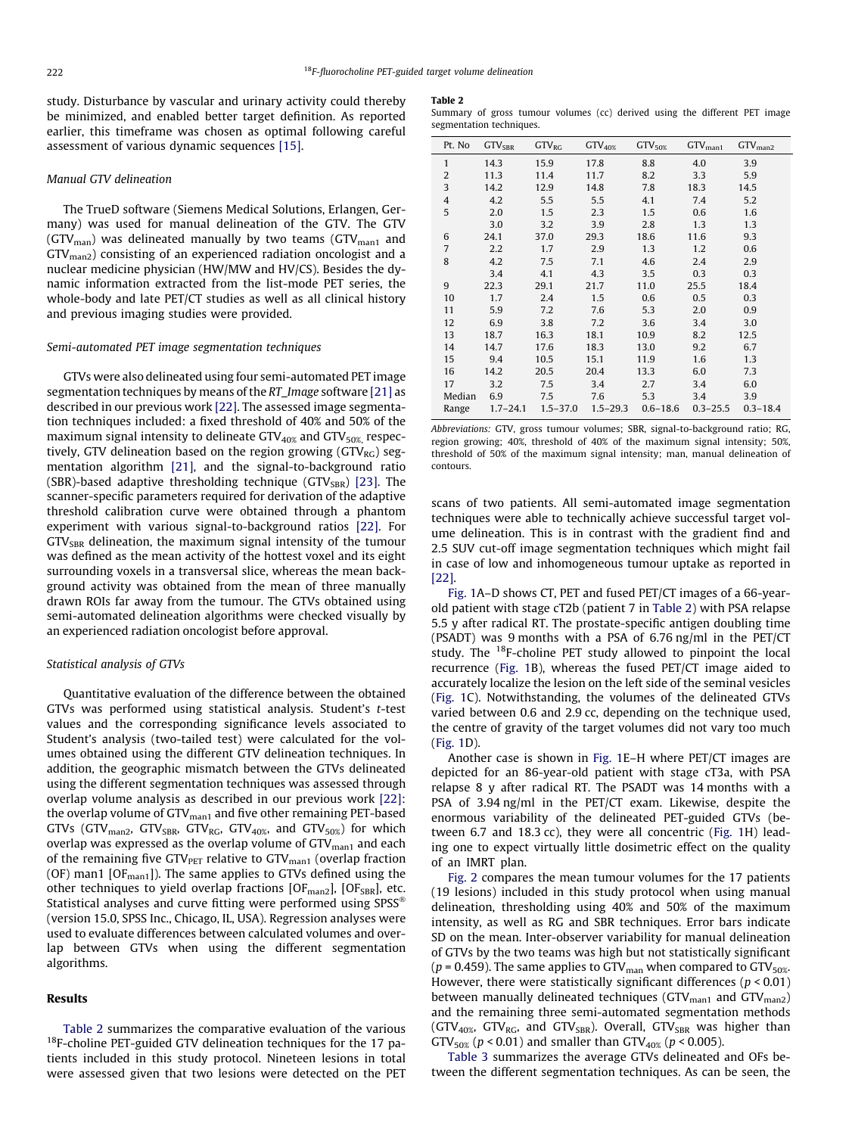<span id="page-2-0"></span>study. Disturbance by vascular and urinary activity could thereby be minimized, and enabled better target definition. As reported earlier, this timeframe was chosen as optimal following careful assessment of various dynamic sequences [\[15\].](#page-5-0)

#### Manual GTV delineation

The TrueD software (Siemens Medical Solutions, Erlangen, Germany) was used for manual delineation of the GTV. The GTV (GTV<sub>man</sub>) was delineated manually by two teams (GTV<sub>man1</sub> and GTVman2) consisting of an experienced radiation oncologist and a nuclear medicine physician (HW/MW and HV/CS). Besides the dynamic information extracted from the list-mode PET series, the whole-body and late PET/CT studies as well as all clinical history and previous imaging studies were provided.

## Semi-automated PET image segmentation techniques

GTVs were also delineated using four semi-automated PET image segmentation techniques by means of the RT\_Image software [\[21\]](#page-5-0) as described in our previous work [\[22\].](#page-5-0) The assessed image segmentation techniques included: a fixed threshold of 40% and 50% of the maximum signal intensity to delineate  $GTV_{40\%}$  and  $GTV_{50\%}$  respectively, GTV delineation based on the region growing ( $GTV_{RG}$ ) segmentation algorithm [\[21\]](#page-5-0), and the signal-to-background ratio (SBR)-based adaptive thresholding technique (GTV<sub>SBR</sub>) [\[23\].](#page-5-0) The scanner-specific parameters required for derivation of the adaptive threshold calibration curve were obtained through a phantom experiment with various signal-to-background ratios [\[22\].](#page-5-0) For  $GTV<sub>SBR</sub>$  delineation, the maximum signal intensity of the tumour was defined as the mean activity of the hottest voxel and its eight surrounding voxels in a transversal slice, whereas the mean background activity was obtained from the mean of three manually drawn ROIs far away from the tumour. The GTVs obtained using semi-automated delineation algorithms were checked visually by an experienced radiation oncologist before approval.

#### Statistical analysis of GTVs

Quantitative evaluation of the difference between the obtained GTVs was performed using statistical analysis. Student's t-test values and the corresponding significance levels associated to Student's analysis (two-tailed test) were calculated for the volumes obtained using the different GTV delineation techniques. In addition, the geographic mismatch between the GTVs delineated using the different segmentation techniques was assessed through overlap volume analysis as described in our previous work [\[22\]:](#page-5-0) the overlap volume of GTV<sub>man1</sub> and five other remaining PET-based GTVs (GTV<sub>man2</sub>, GTV<sub>SBR</sub>, GTV<sub>RG</sub>, GTV<sub>40%</sub>, and GTV<sub>50%</sub>) for which overlap was expressed as the overlap volume of  $GTV_{man1}$  and each of the remaining five GTV $_{\rm{PET}}$  relative to GTV $_{\rm{man1}}$  (overlap fraction (OF) man1 [O $F_{man1}$ ]). The same applies to GTVs defined using the other techniques to yield overlap fractions  $[OF<sub>man2</sub>]$ ,  $[OF<sub>SBR</sub>]$ , etc. Statistical analyses and curve fitting were performed using SPSS (version 15.0, SPSS Inc., Chicago, IL, USA). Regression analyses were used to evaluate differences between calculated volumes and overlap between GTVs when using the different segmentation algorithms.

### Results

Table 2 summarizes the comparative evaluation of the various <sup>18</sup>F-choline PET-guided GTV delineation techniques for the 17 patients included in this study protocol. Nineteen lesions in total were assessed given that two lesions were detected on the PET

#### Table 2

Summary of gross tumour volumes (cc) derived using the different PET image segmentation techniques.

| Pt. No         | GTV <sub>SBR</sub> | $GTV_{RG}$   | $GTV_{40\%}$ | $GTV_{50\%}$ | $GTV_{man1}$ | $GTV_{man2}$ |
|----------------|--------------------|--------------|--------------|--------------|--------------|--------------|
| $\mathbf{1}$   | 14.3               | 15.9         | 17.8         | 8.8          | 4.0          | 3.9          |
| $\overline{2}$ | 11.3               | 11.4         | 11.7         | 8.2          | 3.3          | 5.9          |
| 3              | 14.2               | 12.9         | 14.8         | 7.8          | 18.3         | 14.5         |
| $\overline{4}$ | 4.2                | 5.5          | 5.5          | 4.1          | 7.4          | 5.2          |
| 5              | 2.0                | 1.5          | 2.3          | 1.5          | 0.6          | 1.6          |
|                | 3.0                | 3.2          | 3.9          | 2.8          | 1.3          | 1.3          |
| 6              | 24.1               | 37.0         | 29.3         | 18.6         | 11.6         | 9.3          |
| 7              | 2.2                | 1.7          | 2.9          | 1.3          | 1.2          | 0.6          |
| 8              | 4.2                | 7.5          | 7.1          | 4.6          | 2.4          | 2.9          |
|                | 3.4                | 4.1          | 4.3          | 3.5          | 0.3          | 0.3          |
| 9              | 22.3               | 29.1         | 21.7         | 11.0         | 25.5         | 18.4         |
| 10             | 1.7                | 2.4          | 1.5          | 0.6          | 0.5          | 0.3          |
| 11             | 5.9                | 7.2          | 7.6          | 5.3          | 2.0          | 0.9          |
| 12             | 6.9                | 3.8          | 7.2          | 3.6          | 3.4          | 3.0          |
| 13             | 18.7               | 16.3         | 18.1         | 10.9         | 8.2          | 12.5         |
| 14             | 14.7               | 17.6         | 18.3         | 13.0         | 9.2          | 6.7          |
| 15             | 9.4                | 10.5         | 15.1         | 11.9         | 1.6          | 1.3          |
| 16             | 14.2               | 20.5         | 20.4         | 13.3         | 6.0          | 7.3          |
| 17             | 3.2                | 7.5          | 3.4          | 2.7          | 3.4          | 6.0          |
| Median         | 6.9                | 7.5          | 7.6          | 5.3          | 3.4          | 3.9          |
| Range          | $1.7 - 24.1$       | $1.5 - 37.0$ | $1.5 - 29.3$ | $0.6 - 18.6$ | $0.3 - 25.5$ | $0.3 - 18.4$ |

Abbreviations: GTV, gross tumour volumes; SBR, signal-to-background ratio; RG, region growing; 40%, threshold of 40% of the maximum signal intensity; 50%, threshold of 50% of the maximum signal intensity; man, manual delineation of contours.

scans of two patients. All semi-automated image segmentation techniques were able to technically achieve successful target volume delineation. This is in contrast with the gradient find and 2.5 SUV cut-off image segmentation techniques which might fail in case of low and inhomogeneous tumour uptake as reported in [\[22\]](#page-5-0).

[Fig. 1](#page-3-0)A–D shows CT, PET and fused PET/CT images of a 66-yearold patient with stage cT2b (patient 7 in Table 2) with PSA relapse 5.5 y after radical RT. The prostate-specific antigen doubling time (PSADT) was 9 months with a PSA of 6.76 ng/ml in the PET/CT study. The <sup>18</sup>F-choline PET study allowed to pinpoint the local recurrence [\(Fig. 1](#page-3-0)B), whereas the fused PET/CT image aided to accurately localize the lesion on the left side of the seminal vesicles ([Fig. 1C](#page-3-0)). Notwithstanding, the volumes of the delineated GTVs varied between 0.6 and 2.9 cc, depending on the technique used, the centre of gravity of the target volumes did not vary too much ([Fig. 1](#page-3-0)D).

Another case is shown in [Fig. 1E](#page-3-0)–H where PET/CT images are depicted for an 86-year-old patient with stage cT3a, with PSA relapse 8 y after radical RT. The PSADT was 14 months with a PSA of 3.94 ng/ml in the PET/CT exam. Likewise, despite the enormous variability of the delineated PET-guided GTVs (between 6.7 and 18.3 cc), they were all concentric [\(Fig. 1H](#page-3-0)) leading one to expect virtually little dosimetric effect on the quality of an IMRT plan.

[Fig. 2](#page-3-0) compares the mean tumour volumes for the 17 patients (19 lesions) included in this study protocol when using manual delineation, thresholding using 40% and 50% of the maximum intensity, as well as RG and SBR techniques. Error bars indicate SD on the mean. Inter-observer variability for manual delineation of GTVs by the two teams was high but not statistically significant ( $p = 0.459$ ). The same applies to GTV<sub>man</sub> when compared to GTV<sub>50%</sub>. However, there were statistically significant differences ( $p < 0.01$ ) between manually delineated techniques ( $GTV_{man1}$  and  $GTV_{man2}$ ) and the remaining three semi-automated segmentation methods (GTV<sub>40%</sub>, GTV<sub>RG</sub>, and GTV<sub>SBR</sub>). Overall, GTV<sub>SBR</sub> was higher than  $GTV_{50\%}(p < 0.01)$  and smaller than  $GTV_{40\%}(p < 0.005)$ .

[Table 3](#page-3-0) summarizes the average GTVs delineated and OFs between the different segmentation techniques. As can be seen, the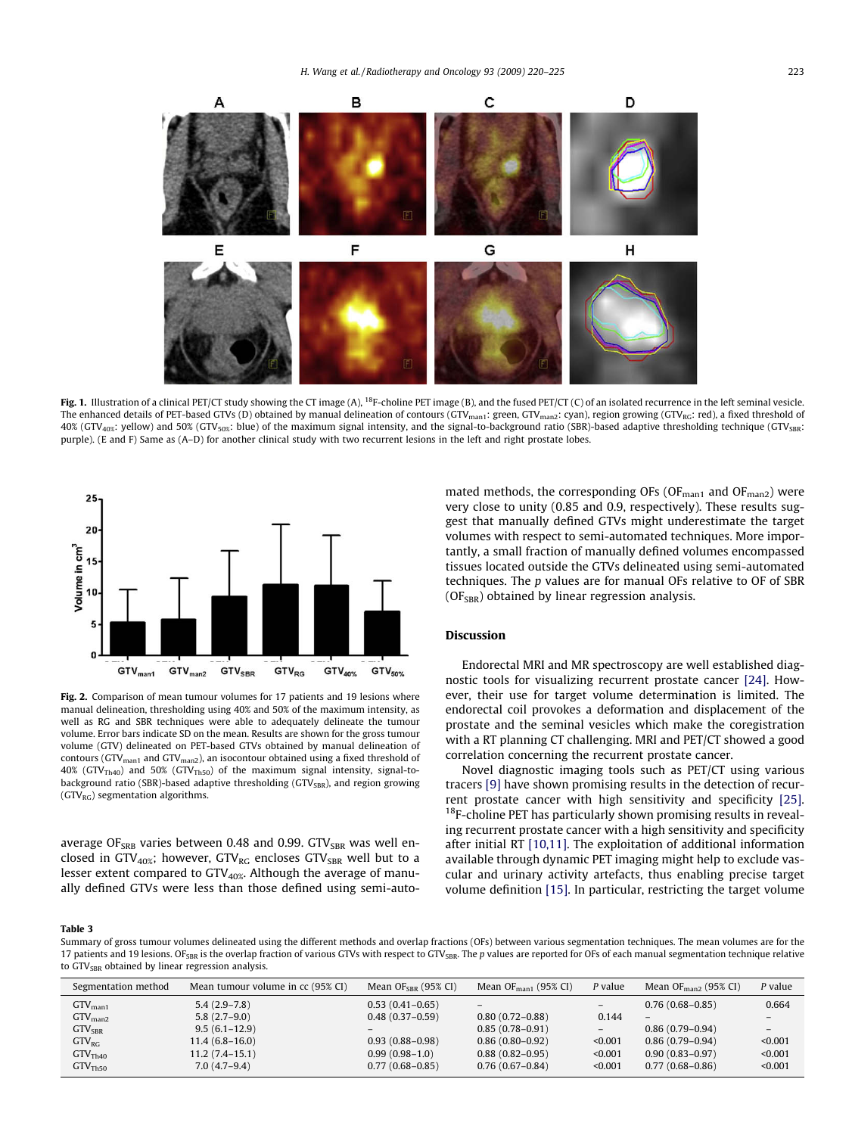<span id="page-3-0"></span>

Fig. 1. Illustration of a clinical PET/CT study showing the CT image (A), <sup>18</sup>F-choline PET image (B), and the fused PET/CT (C) of an isolated recurrence in the left seminal vesicle. The enhanced details of PET-based GTVs (D) obtained by manual delineation of contours (GTV<sub>man1</sub>: green, GTV<sub>man2</sub>: cyan), region growing (GTV<sub>RG</sub>: red), a fixed threshold of 40% (GTV<sub>40%</sub>: yellow) and 50% (GTV<sub>50%</sub>: blue) of the maximum signal intensity, and the signal-to-background ratio (SBR)-based adaptive thresholding technique (GTV<sub>SBR</sub>: purple). (E and F) Same as (A–D) for another clinical study with two recurrent lesions in the left and right prostate lobes.



Fig. 2. Comparison of mean tumour volumes for 17 patients and 19 lesions where manual delineation, thresholding using 40% and 50% of the maximum intensity, as well as RG and SBR techniques were able to adequately delineate the tumour volume. Error bars indicate SD on the mean. Results are shown for the gross tumour volume (GTV) delineated on PET-based GTVs obtained by manual delineation of contours (GTV<sub>man1</sub> and GTV<sub>man2</sub>), an isocontour obtained using a fixed threshold of  $40\%$  (GTV<sub>Th40</sub>) and 50% (GTV<sub>Th50</sub>) of the maximum signal intensity, signal-tobackground ratio (SBR)-based adaptive thresholding (GTV<sub>SBR</sub>), and region growing  $(GTV_{BC})$  segmentation algorithms.

average OF<sub>SRB</sub> varies between 0.48 and 0.99. GTV<sub>SBR</sub> was well enclosed in GTV<sub>40%</sub>; however, GTV<sub>RG</sub> encloses GTV<sub>SBR</sub> well but to a lesser extent compared to  $GTV_{40\%}$ . Although the average of manually defined GTVs were less than those defined using semi-automated methods, the corresponding OFs (OF $_{\text{man1}}$  and OF $_{\text{man2}}$ ) were very close to unity (0.85 and 0.9, respectively). These results suggest that manually defined GTVs might underestimate the target volumes with respect to semi-automated techniques. More importantly, a small fraction of manually defined volumes encompassed tissues located outside the GTVs delineated using semi-automated techniques. The p values are for manual OFs relative to OF of SBR  $(OF<sub>SBR</sub>)$  obtained by linear regression analysis.

## Discussion

Endorectal MRI and MR spectroscopy are well established diagnostic tools for visualizing recurrent prostate cancer [\[24\].](#page-5-0) However, their use for target volume determination is limited. The endorectal coil provokes a deformation and displacement of the prostate and the seminal vesicles which make the coregistration with a RT planning CT challenging. MRI and PET/CT showed a good correlation concerning the recurrent prostate cancer.

Novel diagnostic imaging tools such as PET/CT using various tracers [\[9\]](#page-5-0) have shown promising results in the detection of recurrent prostate cancer with high sensitivity and specificity [\[25\].](#page-5-0)  $18F$ -choline PET has particularly shown promising results in revealing recurrent prostate cancer with a high sensitivity and specificity after initial RT [\[10,11\]](#page-5-0). The exploitation of additional information available through dynamic PET imaging might help to exclude vascular and urinary activity artefacts, thus enabling precise target volume definition [\[15\]](#page-5-0). In particular, restricting the target volume

#### Table 3

Summary of gross tumour volumes delineated using the different methods and overlap fractions (OFs) between various segmentation techniques. The mean volumes are for the 17 patients and 19 lesions. OF<sub>SBR</sub> is the overlap fraction of various GTVs with respect to GTV<sub>SBR</sub>. The p values are reported for OFs of each manual segmentation technique relative to GTV<sub>SBR</sub> obtained by linear regression analysis.

| Segmentation method | Mean tumour volume in cc (95% CI) | Mean $OFSRR$ (95% CI) | Mean $OF_{\text{man}}(95\% \text{ CI})$ | P value | Mean O $F_{\rm{man2}}$ (95% CI) | P value |
|---------------------|-----------------------------------|-----------------------|-----------------------------------------|---------|---------------------------------|---------|
| $GTV_{\text{man1}}$ | $5.4(2.9-7.8)$                    | $0.53(0.41-0.65)$     |                                         | $-$     | $0.76(0.68 - 0.85)$             | 0.664   |
| $GTV_{\text{man2}}$ | $5.8(2.7-9.0)$                    | $0.48(0.37-0.59)$     | $0.80(0.72 - 0.88)$                     | 0.144   |                                 |         |
| $GTV_{SBR}$         | $9.5(6.1-12.9)$                   |                       | $0.85(0.78-0.91)$                       | $-$     | $0.86(0.79-0.94)$               |         |
| $GTV_{RG}$          | $11.4(6.8-16.0)$                  | $0.93(0.88-0.98)$     | $0.86(0.80-0.92)$                       | < 0.001 | $0.86(0.79-0.94)$               | < 0.001 |
| GTV <sub>Th40</sub> | 11.2 (7.4–15.1)                   | $0.99(0.98-1.0)$      | $0.88(0.82-0.95)$                       | < 0.001 | $0.90(0.83 - 0.97)$             | < 0.001 |
| GTV <sub>Th50</sub> | $7.0(4.7-9.4)$                    | $0.77(0.68 - 0.85)$   | $0.76(0.67-0.84)$                       | < 0.001 | $0.77(0.68 - 0.86)$             | < 0.001 |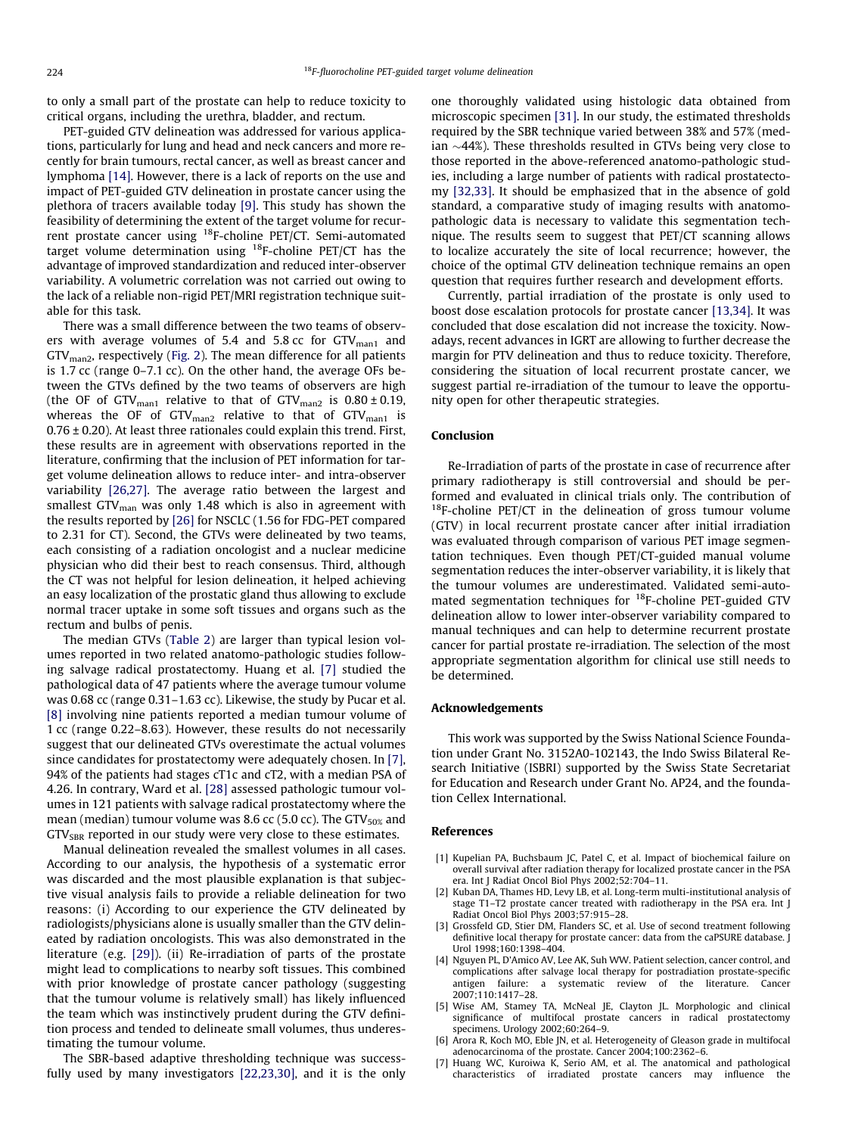<span id="page-4-0"></span>to only a small part of the prostate can help to reduce toxicity to critical organs, including the urethra, bladder, and rectum.

PET-guided GTV delineation was addressed for various applications, particularly for lung and head and neck cancers and more recently for brain tumours, rectal cancer, as well as breast cancer and lymphoma [\[14\]](#page-5-0). However, there is a lack of reports on the use and impact of PET-guided GTV delineation in prostate cancer using the plethora of tracers available today [\[9\]](#page-5-0). This study has shown the feasibility of determining the extent of the target volume for recurrent prostate cancer using 18F-choline PET/CT. Semi-automated target volume determination using  $^{18}$ F-choline PET/CT has the advantage of improved standardization and reduced inter-observer variability. A volumetric correlation was not carried out owing to the lack of a reliable non-rigid PET/MRI registration technique suitable for this task.

There was a small difference between the two teams of observers with average volumes of 5.4 and 5.8 cc for  $GTV_{man1}$  and  $GTV<sub>man2</sub>$ , respectively ([Fig. 2](#page-3-0)). The mean difference for all patients is 1.7 cc (range 0–7.1 cc). On the other hand, the average OFs between the GTVs defined by the two teams of observers are high (the OF of GTV<sub>man1</sub> relative to that of GTV<sub>man2</sub> is  $0.80 \pm 0.19$ , whereas the OF of  $GTV_{man2}$  relative to that of  $GTV_{man1}$  is  $0.76 \pm 0.20$ ). At least three rationales could explain this trend. First, these results are in agreement with observations reported in the literature, confirming that the inclusion of PET information for target volume delineation allows to reduce inter- and intra-observer variability [\[26,27\].](#page-5-0) The average ratio between the largest and smallest GTV $_{\text{man}}$  was only 1.48 which is also in agreement with the results reported by [\[26\]](#page-5-0) for NSCLC (1.56 for FDG-PET compared to 2.31 for CT). Second, the GTVs were delineated by two teams, each consisting of a radiation oncologist and a nuclear medicine physician who did their best to reach consensus. Third, although the CT was not helpful for lesion delineation, it helped achieving an easy localization of the prostatic gland thus allowing to exclude normal tracer uptake in some soft tissues and organs such as the rectum and bulbs of penis.

The median GTVs ([Table 2](#page-2-0)) are larger than typical lesion volumes reported in two related anatomo-pathologic studies following salvage radical prostatectomy. Huang et al. [7] studied the pathological data of 47 patients where the average tumour volume was 0.68 cc (range 0.31–1.63 cc). Likewise, the study by Pucar et al. [\[8\]](#page-5-0) involving nine patients reported a median tumour volume of 1 cc (range 0.22–8.63). However, these results do not necessarily suggest that our delineated GTVs overestimate the actual volumes since candidates for prostatectomy were adequately chosen. In [7], 94% of the patients had stages cT1c and cT2, with a median PSA of 4.26. In contrary, Ward et al. [\[28\]](#page-5-0) assessed pathologic tumour volumes in 121 patients with salvage radical prostatectomy where the mean (median) tumour volume was 8.6 cc (5.0 cc). The GTV $_{50\%}$  and GTV<sub>SBR</sub> reported in our study were very close to these estimates.

Manual delineation revealed the smallest volumes in all cases. According to our analysis, the hypothesis of a systematic error was discarded and the most plausible explanation is that subjective visual analysis fails to provide a reliable delineation for two reasons: (i) According to our experience the GTV delineated by radiologists/physicians alone is usually smaller than the GTV delineated by radiation oncologists. This was also demonstrated in the literature (e.g. [\[29\]\)](#page-5-0). (ii) Re-irradiation of parts of the prostate might lead to complications to nearby soft tissues. This combined with prior knowledge of prostate cancer pathology (suggesting that the tumour volume is relatively small) has likely influenced the team which was instinctively prudent during the GTV definition process and tended to delineate small volumes, thus underestimating the tumour volume.

The SBR-based adaptive thresholding technique was successfully used by many investigators [\[22,23,30\]](#page-5-0), and it is the only one thoroughly validated using histologic data obtained from microscopic specimen [\[31\]](#page-5-0). In our study, the estimated thresholds required by the SBR technique varied between 38% and 57% (median  $\sim$ 44%). These thresholds resulted in GTVs being very close to those reported in the above-referenced anatomo-pathologic studies, including a large number of patients with radical prostatectomy [\[32,33\].](#page-5-0) It should be emphasized that in the absence of gold standard, a comparative study of imaging results with anatomopathologic data is necessary to validate this segmentation technique. The results seem to suggest that PET/CT scanning allows to localize accurately the site of local recurrence; however, the choice of the optimal GTV delineation technique remains an open question that requires further research and development efforts.

Currently, partial irradiation of the prostate is only used to boost dose escalation protocols for prostate cancer [\[13,34\].](#page-5-0) It was concluded that dose escalation did not increase the toxicity. Nowadays, recent advances in IGRT are allowing to further decrease the margin for PTV delineation and thus to reduce toxicity. Therefore, considering the situation of local recurrent prostate cancer, we suggest partial re-irradiation of the tumour to leave the opportunity open for other therapeutic strategies.

## Conclusion

Re-Irradiation of parts of the prostate in case of recurrence after primary radiotherapy is still controversial and should be performed and evaluated in clinical trials only. The contribution of  $18F$ -choline PET/CT in the delineation of gross tumour volume (GTV) in local recurrent prostate cancer after initial irradiation was evaluated through comparison of various PET image segmentation techniques. Even though PET/CT-guided manual volume segmentation reduces the inter-observer variability, it is likely that the tumour volumes are underestimated. Validated semi-automated segmentation techniques for 18F-choline PET-guided GTV delineation allow to lower inter-observer variability compared to manual techniques and can help to determine recurrent prostate cancer for partial prostate re-irradiation. The selection of the most appropriate segmentation algorithm for clinical use still needs to be determined.

## Acknowledgements

This work was supported by the Swiss National Science Foundation under Grant No. 3152A0-102143, the Indo Swiss Bilateral Research Initiative (ISBRI) supported by the Swiss State Secretariat for Education and Research under Grant No. AP24, and the foundation Cellex International.

## References

- [1] Kupelian PA, Buchsbaum JC, Patel C, et al. Impact of biochemical failure on overall survival after radiation therapy for localized prostate cancer in the PSA era. Int J Radiat Oncol Biol Phys 2002;52:704–11.
- Kuban DA, Thames HD, Levy LB, et al. Long-term multi-institutional analysis of stage T1–T2 prostate cancer treated with radiotherapy in the PSA era. Int J Radiat Oncol Biol Phys 2003;57:915–28.
- [3] Grossfeld GD, Stier DM, Flanders SC, et al. Use of second treatment following definitive local therapy for prostate cancer: data from the caPSURE database. J Urol 1998;160:1398–404.
- [4] Nguyen PL, D'Amico AV, Lee AK, Suh WW. Patient selection, cancer control, and complications after salvage local therapy for postradiation prostate-specific antigen failure: a systematic review of the literature. Cancer 2007;110:1417–28.
- [5] Wise AM, Stamey TA, McNeal JE, Clayton JL. Morphologic and clinical significance of multifocal prostate cancers in radical prostatectomy specimens. Urology 2002;60:264–9.
- [6] Arora R, Koch MO, Eble JN, et al. Heterogeneity of Gleason grade in multifocal adenocarcinoma of the prostate. Cancer 2004;100:2362–6.
- [7] Huang WC, Kuroiwa K, Serio AM, et al. The anatomical and pathological characteristics of irradiated prostate cancers may influence the